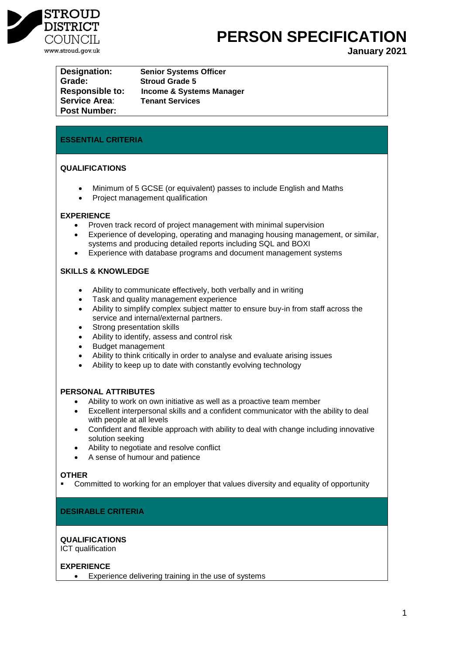

**PERSON SPECIFICATION** 

**January 2021**

**Designation: Senior Systems Officer Grade: Stroud Grade 5 Service Area**: **Tenant Services Post Number:**

**Responsible to: Income & Systems Manager**

# **ESSENTIAL CRITERIA**

# **QUALIFICATIONS**

- Minimum of 5 GCSE (or equivalent) passes to include English and Maths
- Project management qualification

## **EXPERIENCE**

- Proven track record of project management with minimal supervision
- Experience of developing, operating and managing housing management, or similar, systems and producing detailed reports including SQL and BOXI
- Experience with database programs and document management systems

# **SKILLS & KNOWLEDGE**

- Ability to communicate effectively, both verbally and in writing
- Task and quality management experience
- Ability to simplify complex subject matter to ensure buy-in from staff across the service and internal/external partners.
- Strong presentation skills
- Ability to identify, assess and control risk
- Budget management
- Ability to think critically in order to analyse and evaluate arising issues
- Ability to keep up to date with constantly evolving technology

## **PERSONAL ATTRIBUTES**

- Ability to work on own initiative as well as a proactive team member
- Excellent interpersonal skills and a confident communicator with the ability to deal with people at all levels
- Confident and flexible approach with ability to deal with change including innovative solution seeking
- Ability to negotiate and resolve conflict
- A sense of humour and patience

## **OTHER**

Committed to working for an employer that values diversity and equality of opportunity

## **DESIRABLE CRITERIA**

## **QUALIFICATIONS**

ICT qualification

# **EXPERIENCE**

Experience delivering training in the use of systems